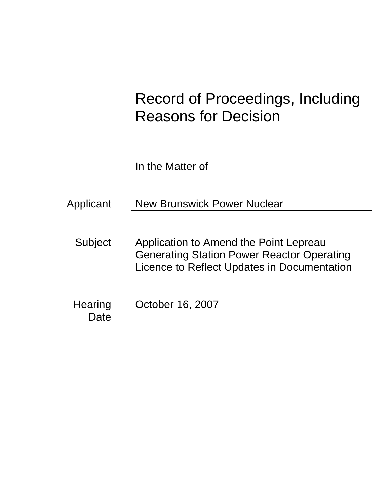# Record of Proceedings, Including Reasons for Decision

In the Matter of

Applicant New Brunswick Power Nuclear

- Subject Application to Amend the Point Lepreau Generating Station Power Reactor Operating Licence to Reflect Updates in Documentation
- **Hearing Date** October 16, 2007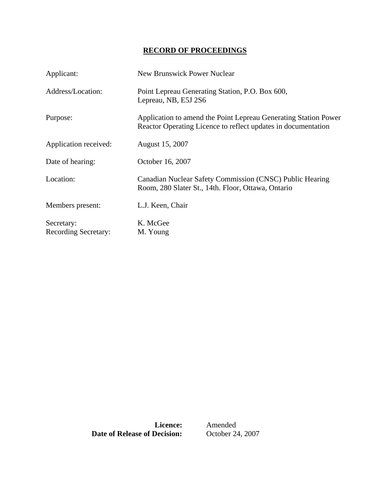# **RECORD OF PROCEEDINGS**

| Applicant:                                | <b>New Brunswick Power Nuclear</b>                                                                                               |
|-------------------------------------------|----------------------------------------------------------------------------------------------------------------------------------|
| Address/Location:                         | Point Lepreau Generating Station, P.O. Box 600,<br>Lepreau, NB, E5J 2S6                                                          |
| Purpose:                                  | Application to amend the Point Lepreau Generating Station Power<br>Reactor Operating Licence to reflect updates in documentation |
| Application received:                     | August 15, 2007                                                                                                                  |
| Date of hearing:                          | October 16, 2007                                                                                                                 |
| Location:                                 | Canadian Nuclear Safety Commission (CNSC) Public Hearing<br>Room, 280 Slater St., 14th. Floor, Ottawa, Ontario                   |
| Members present:                          | L.J. Keen, Chair                                                                                                                 |
| Secretary:<br><b>Recording Secretary:</b> | K. McGee<br>M. Young                                                                                                             |

**Date of Release of Decision:** 

**Licence:** Amended<br>**Decision:** October 24, 2007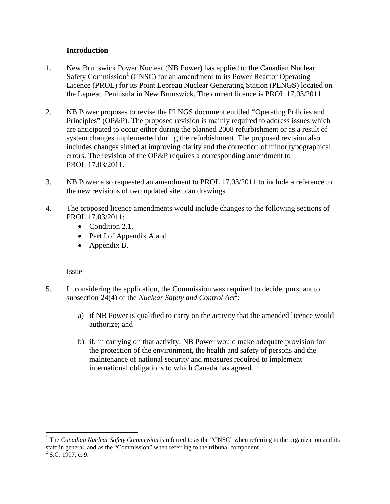# **Introduction**

- 1. New Brunswick Power Nuclear (NB Power) has applied to the Canadian Nuclear Safety Commission<sup>1</sup> (CNSC) for an amendment to its Power Reactor Operating Licence (PROL) for its Point Lepreau Nuclear Generating Station (PLNGS) located on the Lepreau Peninsula in New Brunswick. The current licence is PROL 17.03/2011.
- 2. NB Power proposes to revise the PLNGS document entitled "Operating Policies and Principles" (OP&P). The proposed revision is mainly required to address issues which are anticipated to occur either during the planned 2008 refurbishment or as a result of system changes implemented during the refurbishment. The proposed revision also includes changes aimed at improving clarity and the correction of minor typographical errors. The revision of the OP&P requires a corresponding amendment to PROL 17.03/2011.
- 3. NB Power also requested an amendment to PROL 17.03/2011 to include a reference to the new revisions of two updated site plan drawings.
- 4. The proposed licence amendments would include changes to the following sections of PROL 17.03/2011:
	- Condition 2.1,
	- Part I of Appendix A and
	- Appendix B.

#### Issue

- 5. In considering the application, the Commission was required to decide, pursuant to subsection 24(4) of the *Nuclear Safety and Control Act*<sup>2</sup>:
	- a) if NB Power is qualified to carry on the activity that the amended licence would authorize; and
	- b) if, in carrying on that activity, NB Power would make adequate provision for the protection of the environment, the health and safety of persons and the maintenance of national security and measures required to implement international obligations to which Canada has agreed.

 $\overline{a}$ 

<sup>&</sup>lt;sup>1</sup> The *Canadian Nuclear Safety Commission* is referred to as the "CNSC" when referring to the organization and its staff in general, and as the "Commission" when referring to the tribunal component. 2

 $2$  S.C. 1997, c. 9.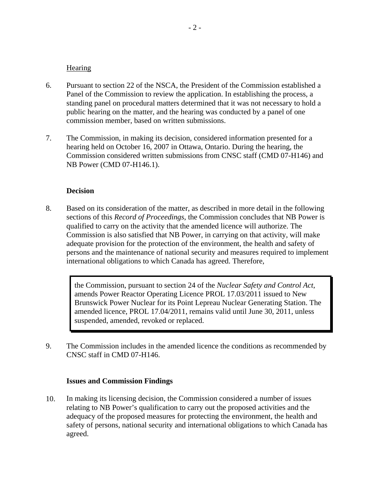#### **Hearing**

- 6. Pursuant to section 22 of the NSCA, the President of the Commission established a Panel of the Commission to review the application. In establishing the process, a standing panel on procedural matters determined that it was not necessary to hold a public hearing on the matter, and the hearing was conducted by a panel of one commission member, based on written submissions.
- 7. The Commission, in making its decision, considered information presented for a hearing held on October 16, 2007 in Ottawa, Ontario. During the hearing, the Commission considered written submissions from CNSC staff (CMD 07-H146) and NB Power (CMD 07-H146.1).

### **Decision**

8. Based on its consideration of the matter, as described in more detail in the following sections of this *Record of Proceedings*, the Commission concludes that NB Power is qualified to carry on the activity that the amended licence will authorize. The Commission is also satisfied that NB Power, in carrying on that activity, will make adequate provision for the protection of the environment, the health and safety of persons and the maintenance of national security and measures required to implement international obligations to which Canada has agreed. Therefore,

> the Commission, pursuant to section 24 of the *Nuclear Safety and Control Act*, amends Power Reactor Operating Licence PROL 17.03/2011 issued to New Brunswick Power Nuclear for its Point Lepreau Nuclear Generating Station. The amended licence, PROL 17.04/2011, remains valid until June 30, 2011, unless suspended, amended, revoked or replaced.

9. The Commission includes in the amended licence the conditions as recommended by CNSC staff in CMD 07-H146.

#### **Issues and Commission Findings**

10. In making its licensing decision, the Commission considered a number of issues relating to NB Power's qualification to carry out the proposed activities and the adequacy of the proposed measures for protecting the environment, the health and safety of persons, national security and international obligations to which Canada has agreed.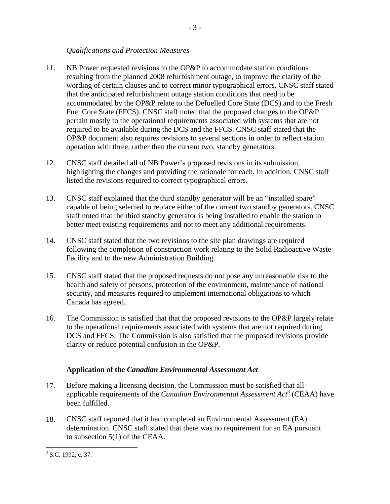# *Qualifications and Protection Measures*

- 11. NB Power requested revisions to the OP&P to accommodate station conditions resulting from the planned 2008 refurbishment outage, to improve the clarity of the wording of certain clauses and to correct minor typographical errors. CNSC staff stated that the anticipated refurbishment outage station conditions that need to be accommodated by the OP&P relate to the Defuelled Core State (DCS) and to the Fresh Fuel Core State (FFCS). CNSC staff noted that the proposed changes to the OP&P pertain mostly to the operational requirements associated with systems that are not required to be available during the DCS and the FFCS. CNSC staff stated that the OP&P document also requires revisions to several sections in order to reflect station operation with three, rather than the current two, standby generators.
- 12. CNSC staff detailed all of NB Power's proposed revisions in its submission, highlighting the changes and providing the rationale for each. In addition, CNSC staff listed the revisions required to correct typographical errors.
- 13. CNSC staff explained that the third standby generator will be an "installed spare" capable of being selected to replace either of the current two standby generators. CNSC staff noted that the third standby generator is being installed to enable the station to better meet existing requirements and not to meet any additional requirements.
- 14. CNSC staff stated that the two revisions to the site plan drawings are required following the completion of construction work relating to the Solid Radioactive Waste Facility and to the new Administration Building.
- 15. CNSC staff stated that the proposed requests do not pose any unreasonable risk to the health and safety of persons, protection of the environment, maintenance of national security, and measures required to implement international obligations to which Canada has agreed.
- 16. The Commission is satisfied that that the proposed revisions to the OP&P largely relate to the operational requirements associated with systems that are not required during DCS and FFCS. The Commission is also satisfied that the proposed revisions provide clarity or reduce potential confusion in the OP&P.

# **Application of the** *Canadian Environmental Assessment Act*

- 17. Before making a licensing decision, the Commission must be satisfied that all applicable requirements of the *Canadian Environmental Assessment Act*3 (CEAA) have been fulfilled.
- 18. CNSC staff reported that it had completed an Environmental Assessment (EA) determination. CNSC staff stated that there was no requirement for an EA pursuant to subsection 5(1) of the CEAA.

 $\overline{a}$  $3$  S.C. 1992, c. 37.